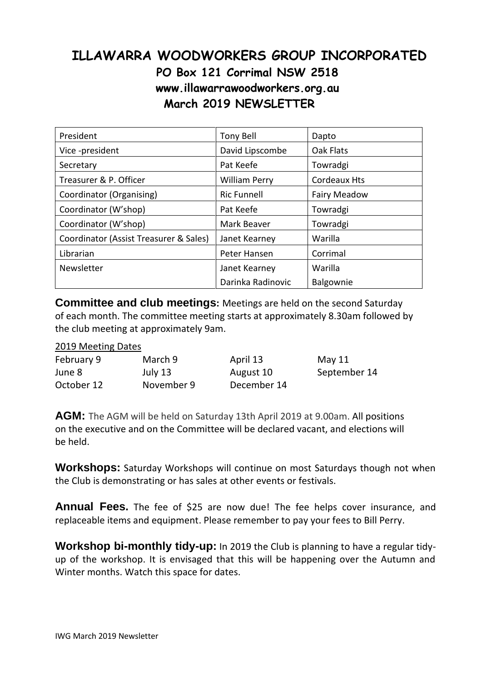## **ILLAWARRA WOODWORKERS GROUP INCORPORATED PO Box 121 Corrimal NSW 2518 www.illawarrawoodworkers.org.au March 2019 NEWSLETTER**

| President                              | <b>Tony Bell</b>     | Dapto               |  |
|----------------------------------------|----------------------|---------------------|--|
| Vice -president                        | David Lipscombe      | Oak Flats           |  |
| Secretary                              | Pat Keefe            | Towradgi            |  |
| Treasurer & P. Officer                 | <b>William Perry</b> | <b>Cordeaux Hts</b> |  |
| Coordinator (Organising)               | <b>Ric Funnell</b>   | <b>Fairy Meadow</b> |  |
| Coordinator (W'shop)                   | Pat Keefe            | Towradgi            |  |
| Coordinator (W'shop)                   | Mark Beaver          | Towradgi            |  |
| Coordinator (Assist Treasurer & Sales) | Janet Kearney        | Warilla             |  |
| Librarian                              | Peter Hansen         | Corrimal            |  |
| Newsletter                             | Janet Kearney        | Warilla             |  |
|                                        | Darinka Radinovic    | Balgownie           |  |

**Committee and club meetings:** Meetings are held on the second Saturday of each month. The committee meeting starts at approximately 8.30am followed by the club meeting at approximately 9am.

## 2019 Meeting Dates

| February 9 | March 9    | April 13    | May $11$     |
|------------|------------|-------------|--------------|
| June 8     | July 13    | August 10   | September 14 |
| October 12 | November 9 | December 14 |              |

**AGM:** The AGM will be held on Saturday 13th April 2019 at 9.00am. All positions on the executive and on the Committee will be declared vacant, and elections will be held.

**Workshops:** Saturday Workshops will continue on most Saturdays though not when the Club is demonstrating or has sales at other events or festivals.

**Annual Fees.** The fee of \$25 are now due! The fee helps cover insurance, and replaceable items and equipment. Please remember to pay your fees to Bill Perry.

**Workshop bi-monthly tidy-up:** In 2019 the Club is planning to have a regular tidyup of the workshop. It is envisaged that this will be happening over the Autumn and Winter months. Watch this space for dates.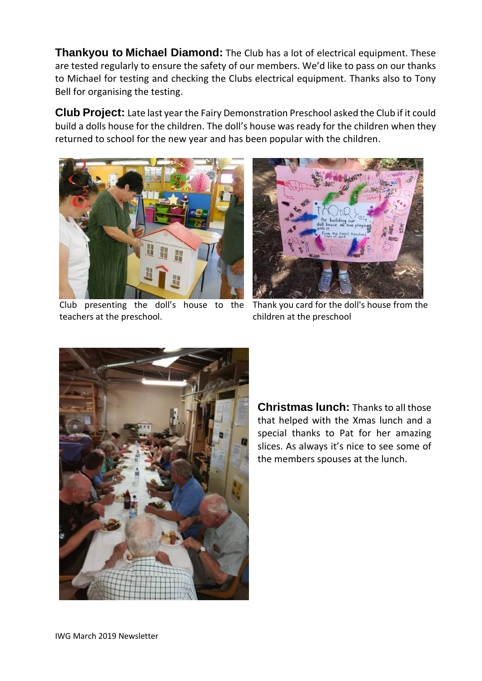**Thankyou to Michael Diamond:** The Club has a lot of electrical equipment. These are tested regularly to ensure the safety of our members. We'd like to pass on our thanks to Michael for testing and checking the Clubs electrical equipment. Thanks also to Tony Bell for organising the testing.

**Club Project:** Late last year the Fairy Demonstration Preschool asked the Club if it could build a dolls house for the children. The doll's house was ready for the children when they returned to school for the new year and has been popular with the children.



Club presenting the doll's house to the teachers at the preschool.



Thank you card for the doll's house from the children at the preschool



**Christmas lunch:** Thanks to all those that helped with the Xmas lunch and a special thanks to Pat for her amazing slices. As always it's nice to see some of the members spouses at the lunch.